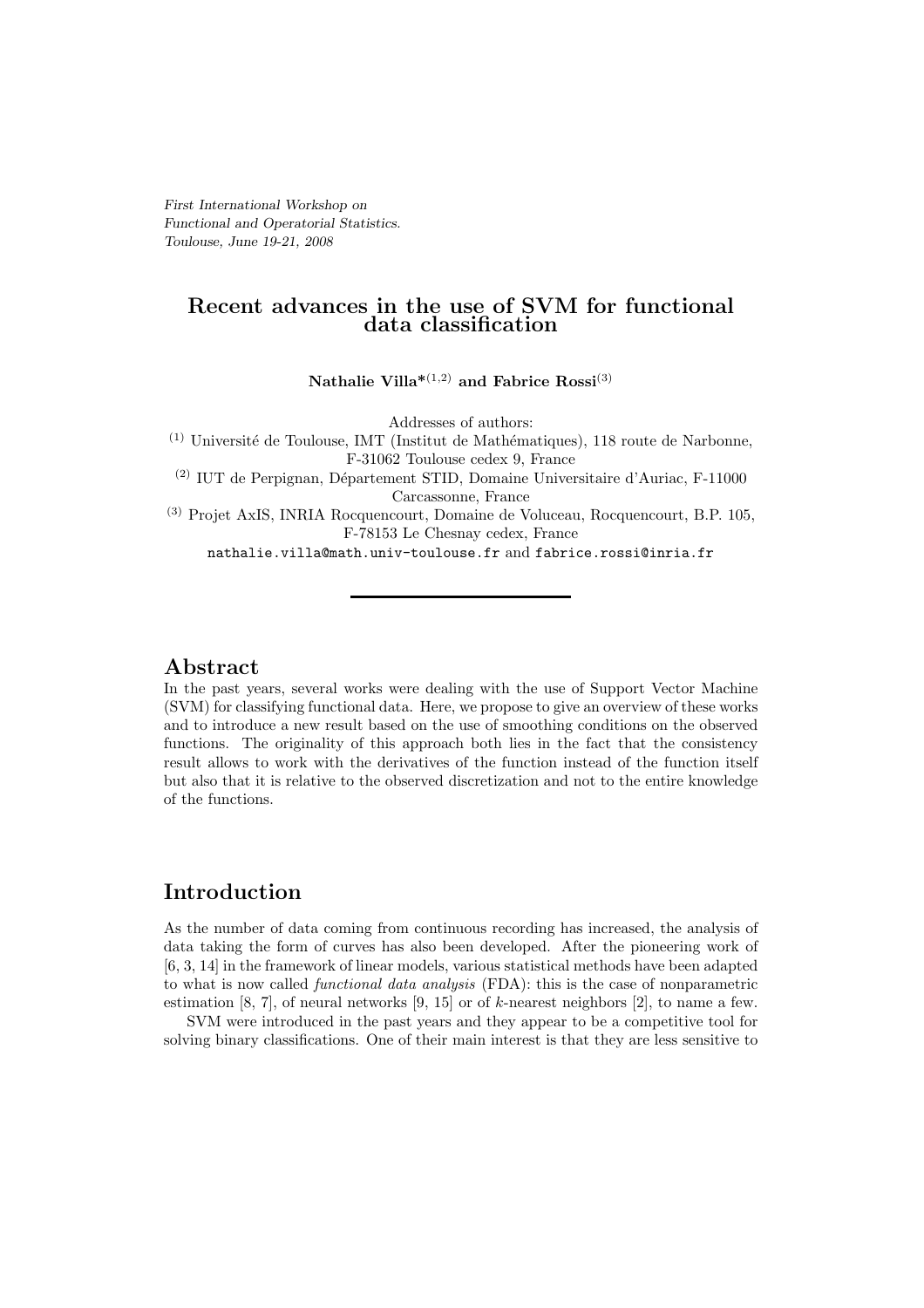First International Workshop on Functional and Operatorial Statistics. Toulouse, June 19-21, 2008

# Recent advances in the use of SVM for functional data classification

Nathalie Villa<sup>\*(1,2)</sup> and Fabrice Rossi<sup>(3)</sup>

Addresses of authors:

 $(1)$  Université de Toulouse, IMT (Institut de Mathématiques), 118 route de Narbonne, F-31062 Toulouse cedex 9, France

 $\,^{(2)}$  IUT de Perpignan, Département STID, Domaine Universitaire d'Auriac, F-11000 Carcassonne, France

(3) Projet AxIS, INRIA Rocquencourt, Domaine de Voluceau, Rocquencourt, B.P. 105, F-78153 Le Chesnay cedex, France

nathalie.villa@math.univ-toulouse.fr and fabrice.rossi@inria.fr

## Abstract

In the past years, several works were dealing with the use of Support Vector Machine (SVM) for classifying functional data. Here, we propose to give an overview of these works and to introduce a new result based on the use of smoothing conditions on the observed functions. The originality of this approach both lies in the fact that the consistency result allows to work with the derivatives of the function instead of the function itself but also that it is relative to the observed discretization and not to the entire knowledge of the functions.

# Introduction

As the number of data coming from continuous recording has increased, the analysis of data taking the form of curves has also been developed. After the pioneering work of [6, 3, 14] in the framework of linear models, various statistical methods have been adapted to what is now called *functional data analysis* (FDA): this is the case of nonparametric estimation [8, 7], of neural networks  $[9, 15]$  or of k-nearest neighbors [2], to name a few.

SVM were introduced in the past years and they appear to be a competitive tool for solving binary classifications. One of their main interest is that they are less sensitive to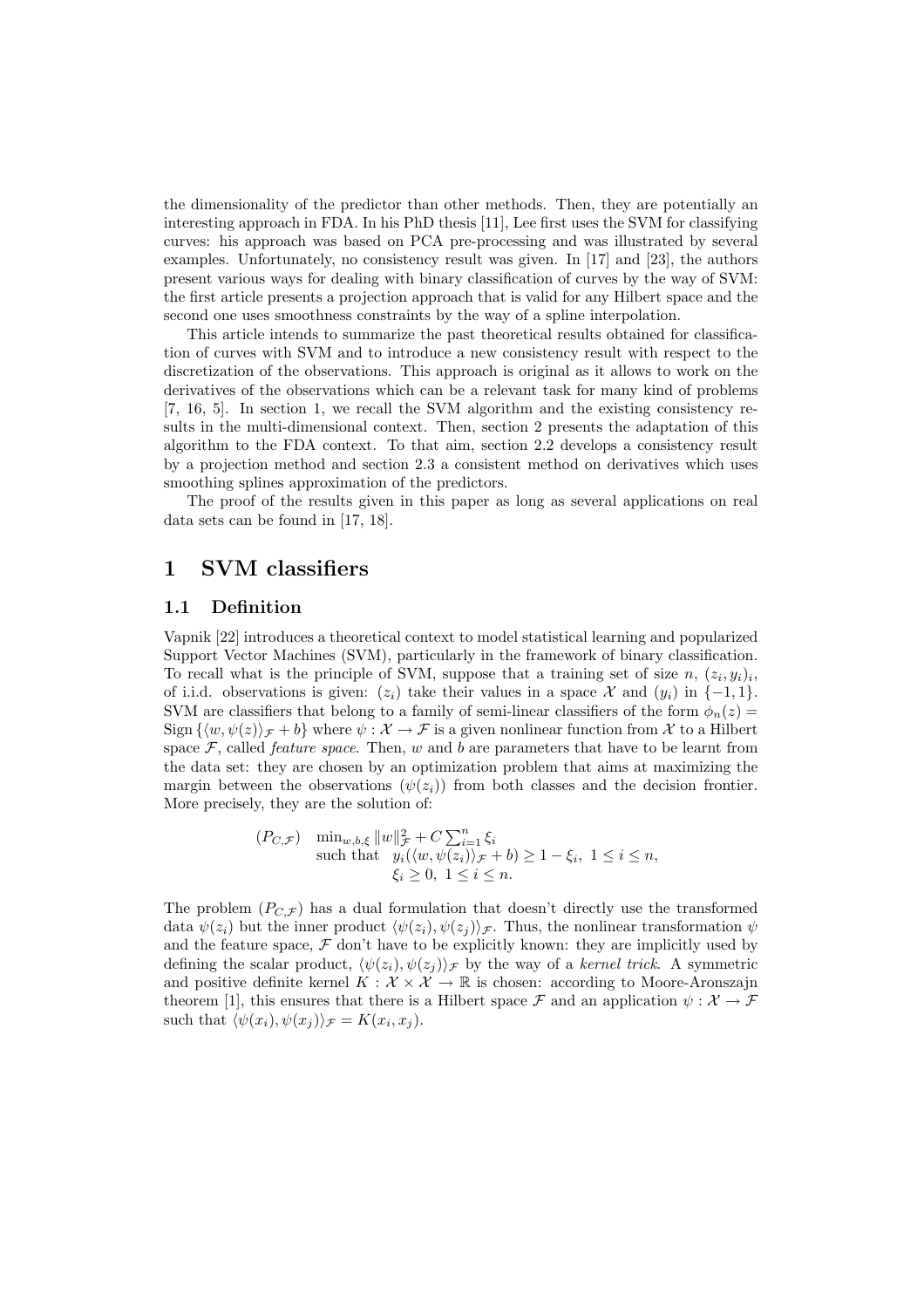the dimensionality of the predictor than other methods. Then, they are potentially an interesting approach in FDA. In his PhD thesis [11], Lee first uses the SVM for classifying curves: his approach was based on PCA pre-processing and was illustrated by several examples. Unfortunately, no consistency result was given. In [17] and [23], the authors present various ways for dealing with binary classification of curves by the way of SVM: the first article presents a projection approach that is valid for any Hilbert space and the second one uses smoothness constraints by the way of a spline interpolation.

This article intends to summarize the past theoretical results obtained for classification of curves with SVM and to introduce a new consistency result with respect to the discretization of the observations. This approach is original as it allows to work on the derivatives of the observations which can be a relevant task for many kind of problems [7, 16, 5]. In section 1, we recall the SVM algorithm and the existing consistency results in the multi-dimensional context. Then, section 2 presents the adaptation of this algorithm to the FDA context. To that aim, section 2.2 develops a consistency result by a projection method and section 2.3 a consistent method on derivatives which uses smoothing splines approximation of the predictors.

The proof of the results given in this paper as long as several applications on real data sets can be found in [17, 18].

# 1 SVM classifiers

### 1.1 Definition

Vapnik [22] introduces a theoretical context to model statistical learning and popularized Support Vector Machines (SVM), particularly in the framework of binary classification. To recall what is the principle of SVM, suppose that a training set of size  $n, (z_i, y_i)_i$ , of i.i.d. observations is given:  $(z_i)$  take their values in a space X and  $(y_i)$  in  $\{-1,1\}$ . SVM are classifiers that belong to a family of semi-linear classifiers of the form  $\phi_n(z)$ Sign  $\{\langle w,\psi(z)\rangle_{\mathcal{F}}+b\}$  where  $\psi:\mathcal{X}\to\mathcal{F}$  is a given nonlinear function from X to a Hilbert space  $F$ , called *feature space*. Then,  $w$  and  $b$  are parameters that have to be learnt from the data set: they are chosen by an optimization problem that aims at maximizing the margin between the observations  $(\psi(z_i))$  from both classes and the decision frontier. More precisely, they are the solution of:

$$
(P_{C,\mathcal{F}}) \quad \min_{w,b,\xi} \|w\|_{\mathcal{F}}^2 + C \sum_{i=1}^n \xi_i
$$
\n
$$
\text{such that} \quad y_i(\langle w, \psi(z_i) \rangle_{\mathcal{F}} + b) \ge 1 - \xi_i, \ 1 \le i \le n,
$$
\n
$$
\xi_i \ge 0, \ 1 \le i \le n.
$$

The problem  $(P_{C,\mathcal{F}})$  has a dual formulation that doesn't directly use the transformed data  $\psi(z_i)$  but the inner product  $\langle \psi(z_i), \psi(z_i) \rangle \mathcal{F}$ . Thus, the nonlinear transformation  $\psi$ and the feature space,  $\mathcal F$  don't have to be explicitly known: they are implicitly used by defining the scalar product,  $\langle \psi(z_i), \psi(z_j) \rangle$ <sub>F</sub> by the way of a *kernel trick*. A symmetric and positive definite kernel  $K : \mathcal{X} \times \mathcal{X} \to \mathbb{R}$  is chosen: according to Moore-Aronszajn theorem [1], this ensures that there is a Hilbert space  $\mathcal F$  and an application  $\psi : \mathcal X \to \mathcal F$ such that  $\langle \psi(x_i), \psi(x_j) \rangle_{\mathcal{F}} = K(x_i, x_j)$ .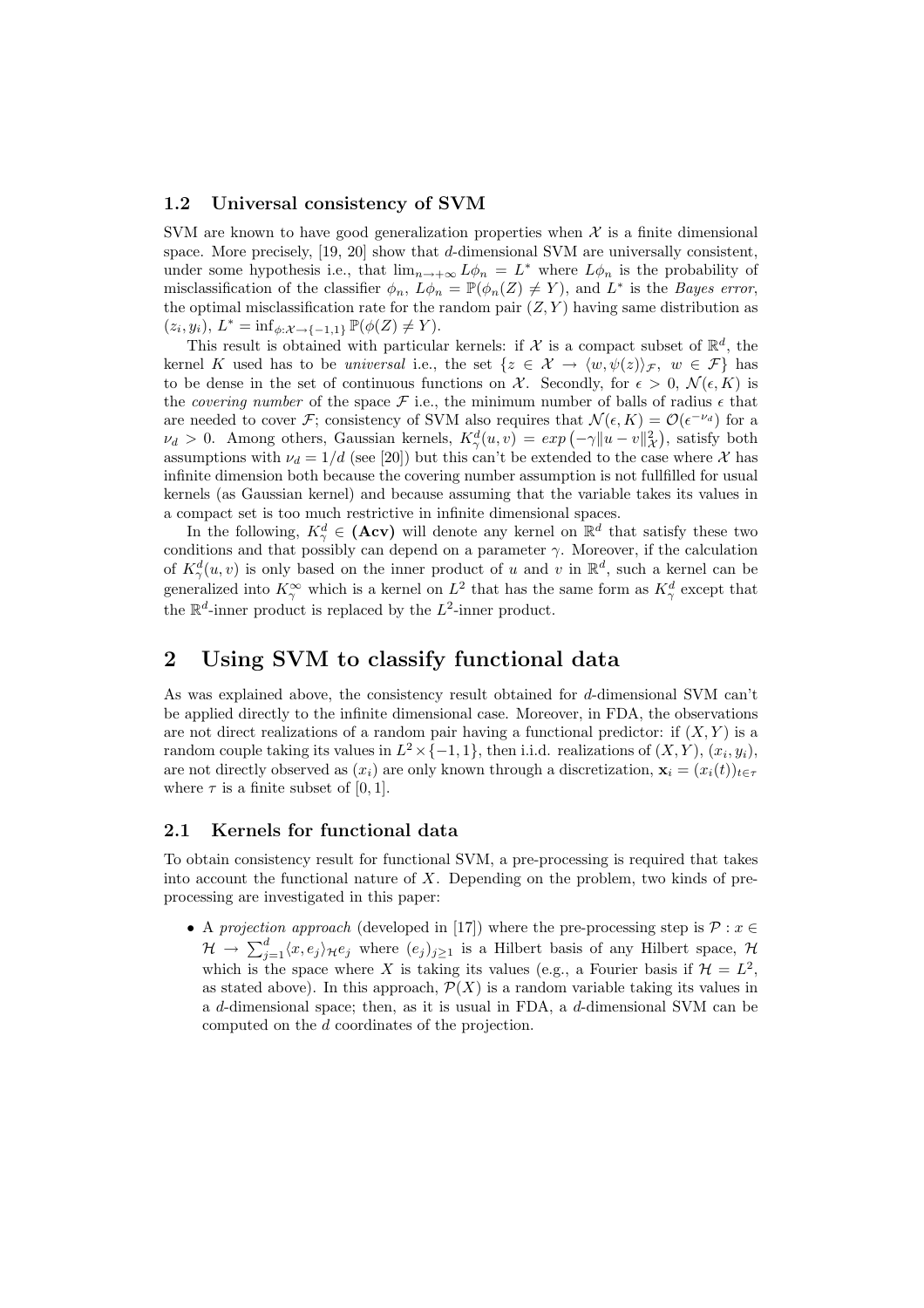### 1.2 Universal consistency of SVM

SVM are known to have good generalization properties when  $\mathcal X$  is a finite dimensional space. More precisely, [19, 20] show that d-dimensional SVM are universally consistent, under some hypothesis i.e., that  $\lim_{n\to+\infty} L\phi_n = L^*$  where  $L\phi_n$  is the probability of misclassification of the classifier  $\phi_n$ ,  $L\phi_n = \mathbb{P}(\phi_n(Z) \neq Y)$ , and  $L^*$  is the *Bayes error*, the optimal misclassification rate for the random pair  $(Z, Y)$  having same distribution as  $(z_i, y_i), L^* = \inf_{\phi: \mathcal{X} \to \{-1,1\}} \mathbb{P}(\phi(Z) \neq Y).$ 

This result is obtained with particular kernels: if X is a compact subset of  $\mathbb{R}^d$ , the kernel K used has to be *universal* i.e., the set  $\{z \in \mathcal{X} \to \langle w, \psi(z) \rangle_F, w \in \mathcal{F}\}\)$  has to be dense in the set of continuous functions on X. Secondly, for  $\epsilon > 0$ ,  $\mathcal{N}(\epsilon, K)$  is the *covering number* of the space  $\mathcal F$  i.e., the minimum number of balls of radius  $\epsilon$  that are needed to cover *F*; consistency of SVM also requires that  $\mathcal{N}(\epsilon, K) = \mathcal{O}(\epsilon^{-\nu_d})$  for a  $\nu_d > 0$ . Among others, Gaussian kernels,  $K^d_\gamma(u, v) = exp(-\gamma ||u - v||^2_\mathcal{X})$ , satisfy both assumptions with  $\nu_d = 1/d$  (see [20]) but this can't be extended to the case where X has infinite dimension both because the covering number assumption is not fullfilled for usual kernels (as Gaussian kernel) and because assuming that the variable takes its values in a compact set is too much restrictive in infinite dimensional spaces.

In the following,  $K^d_\gamma \in (Acv)$  will denote any kernel on  $\mathbb{R}^d$  that satisfy these two conditions and that possibly can depend on a parameter  $\gamma$ . Moreover, if the calculation of  $K^d_\gamma(u,v)$  is only based on the inner product of u and v in  $\mathbb{R}^d$ , such a kernel can be generalized into  $K^{\infty}_{\gamma}$  which is a kernel on  $L^2$  that has the same form as  $K^d_{\gamma}$  except that the  $\mathbb{R}^d$ -inner product is replaced by the  $L^2$ -inner product.

## 2 Using SVM to classify functional data

As was explained above, the consistency result obtained for d-dimensional SVM can't be applied directly to the infinite dimensional case. Moreover, in FDA, the observations are not direct realizations of a random pair having a functional predictor: if  $(X, Y)$  is a random couple taking its values in  $L^2 \times \{-1,1\}$ , then i.i.d. realizations of  $(X, Y)$ ,  $(x_i, y_i)$ , are not directly observed as  $(x_i)$  are only known through a discretization,  $\mathbf{x}_i = (x_i(t))_{t \in \tau}$ where  $\tau$  is a finite subset of [0, 1].

### 2.1 Kernels for functional data

To obtain consistency result for functional SVM, a pre-processing is required that takes into account the functional nature of X. Depending on the problem, two kinds of preprocessing are investigated in this paper:

• A *projection approach* (developed in [17]) where the pre-processing step is  $P : x \in$  $\mathcal{H} \to \sum_{j=1}^d \langle x, e_j \rangle_{\mathcal{H}} e_j$  where  $(e_j)_{j\geq 1}$  is a Hilbert basis of any Hilbert space,  $\mathcal{H}$ which is the space where X is taking its values (e.g., a Fourier basis if  $\mathcal{H} = L^2$ , as stated above). In this approach,  $\mathcal{P}(X)$  is a random variable taking its values in a d-dimensional space; then, as it is usual in FDA, a d-dimensional SVM can be computed on the d coordinates of the projection.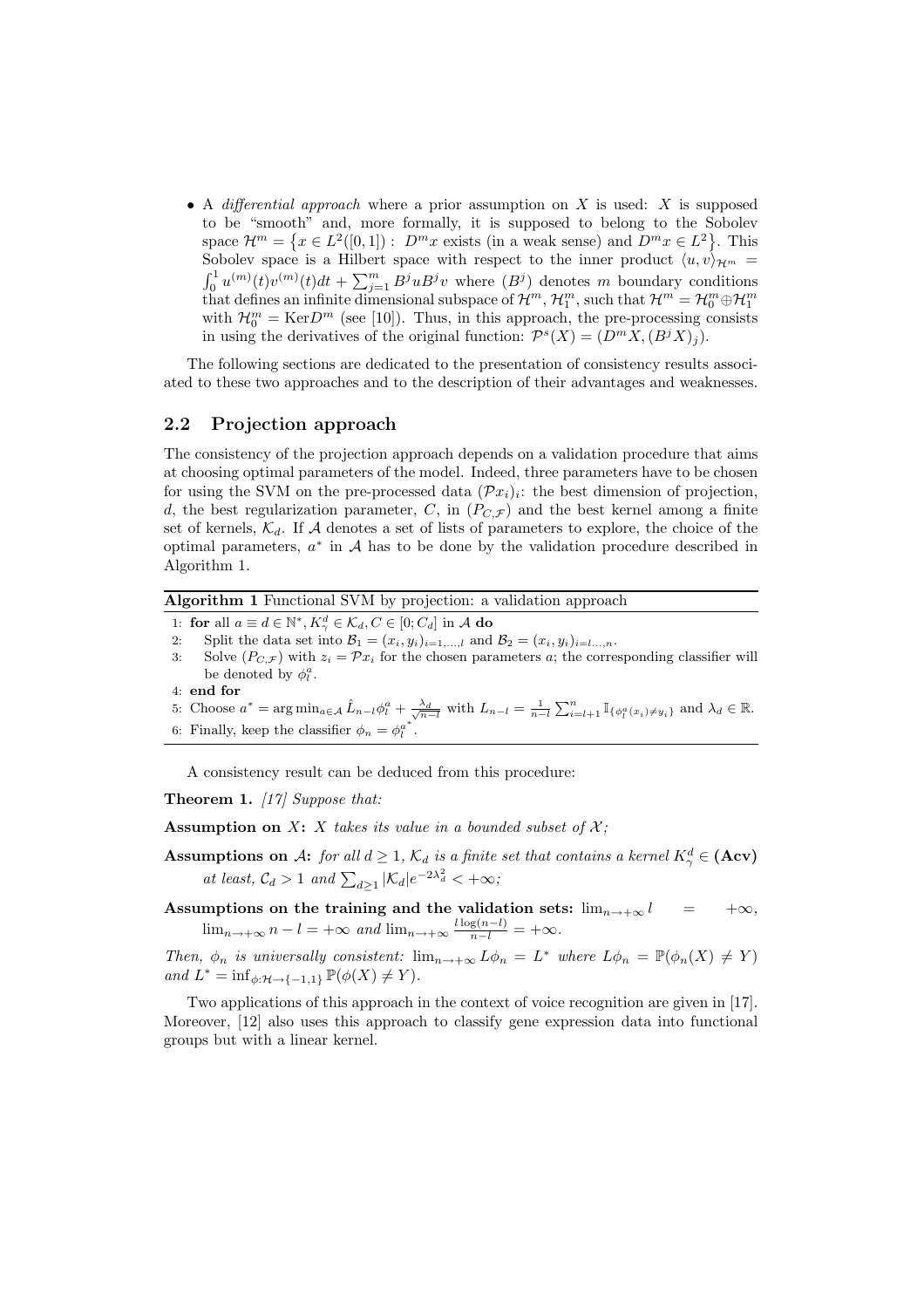• A *differential approach* where a prior assumption on X is used: X is supposed to be "smooth" and, more formally, it is supposed to belong to the Sobolev space  $\mathcal{H}^m = \{x \in L^2([0,1]) : D^m x \text{ exists (in a weak sense) and } D^m x \in L^2 \}.$  This Sobolev space is a Hilbert space with respect to the inner product  $\langle u,v\rangle_{\mathcal{H}^m} =$  $\int_0^1 u^{(m)}(t)v^{(m)}(t)dt + \sum_{j=1}^m B^j u^{j}v$  where  $(B^j)$  denotes m boundary conditions that defines an infinite dimensional subspace of  $\mathcal{H}^m$ ,  $\mathcal{H}_1^m$ , such that  $\mathcal{H}^m = \mathcal{H}_0^m \oplus \mathcal{H}_1^m$ with  $\mathcal{H}_0^m = \text{Ker}D^m$  (see [10]). Thus, in this approach, the pre-processing consists in using the derivatives of the original function:  $\mathcal{P}^s(X) = (D^m X, (B^j X)_j)$ .

The following sections are dedicated to the presentation of consistency results associated to these two approaches and to the description of their advantages and weaknesses.

### 2.2 Projection approach

The consistency of the projection approach depends on a validation procedure that aims at choosing optimal parameters of the model. Indeed, three parameters have to be chosen for using the SVM on the pre-processed data  $(\mathcal{P}x_i)_i$ : the best dimension of projection, d, the best regularization parameter, C, in  $(P_{C,\mathcal{F}})$  and the best kernel among a finite set of kernels,  $\mathcal{K}_d$ . If A denotes a set of lists of parameters to explore, the choice of the optimal parameters,  $a^*$  in  $A$  has to be done by the validation procedure described in Algorithm 1.

Algorithm 1 Functional SVM by projection: a validation approach

- 1: for all  $a \equiv d \in \mathbb{N}^*, K_\gamma^d \in \mathcal{K}_d, C \in [0; C_d]$  in A do
- 2: Split the data set into  $\mathcal{B}_1 = (x_i, y_i)_{i=1,\ldots,l}$  and  $\mathcal{B}_2 = (x_i, y_i)_{i=l,\ldots,n}$ .
- 3: Solve  $(P_{C,\mathcal{F}})$  with  $z_i = \mathcal{P}x_i$  for the chosen parameters a; the corresponding classifier will be denoted by  $\phi_l^a$ .
- 4: end for
- 5: Choose  $a^* = \arg \min_{a \in \mathcal{A}} \hat{L}_{n-l} \phi_l^a + \frac{\lambda_d}{\sqrt{n-l}}$  with  $L_{n-l} = \frac{1}{n-l} \sum_{i=l+1}^n \mathbb{I}_{\{\phi_l^a(x_i) \neq y_i\}}$  and  $\lambda_d \in \mathbb{R}$ .
- 6: Finally, keep the classifier  $\phi_n = \phi_l^{a^*}$  $\begin{smallmatrix} a \ l \end{smallmatrix}$  .

A consistency result can be deduced from this procedure:

Theorem 1. *[17] Suppose that:*

Assumption on  $X: X$  *takes its value in a bounded subset of*  $X$ *;* 

**Assumptions on A:** *for all*  $d \geq 1$ ,  $\mathcal{K}_d$  *is a finite set that contains a kernel*  $K^d_\gamma \in ($ **Acv** $)$ *at least,*  $C_d > 1$  *and*  $\sum_{d \geq 1} |\mathcal{K}_d| e^{-2\lambda_d^2} < +\infty$ ;

Assumptions on the training and the validation sets:  $\lim_{n\to+\infty} l = +\infty$ ,  $\lim_{n \to +\infty} n - l = +\infty$  and  $\lim_{n \to +\infty} \frac{l \log(n-l)}{n-l} = +\infty$ .

*Then,*  $\phi_n$  *is universally consistent:*  $\lim_{n\to+\infty} L\phi_n = L^*$  *where*  $L\phi_n = \mathbb{P}(\phi_n(X) \neq Y)$ *and*  $L^* = \inf_{\phi: \mathcal{H} \to \{-1,1\}} \mathbb{P}(\phi(X) \neq Y)$ *.* 

Two applications of this approach in the context of voice recognition are given in [17]. Moreover, [12] also uses this approach to classify gene expression data into functional groups but with a linear kernel.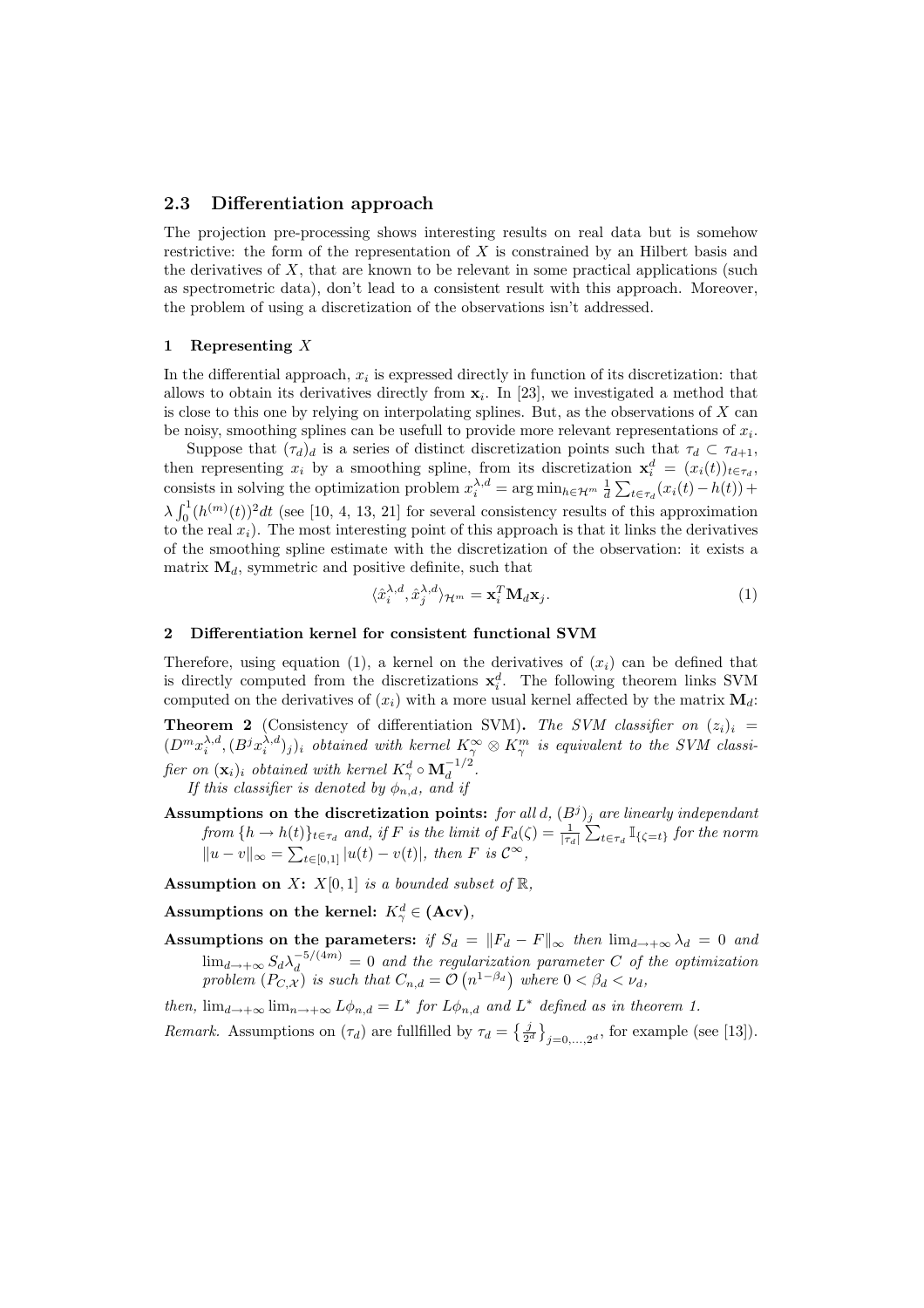### 2.3 Differentiation approach

The projection pre-processing shows interesting results on real data but is somehow restrictive: the form of the representation of X is constrained by an Hilbert basis and the derivatives of  $X$ , that are known to be relevant in some practical applications (such as spectrometric data), don't lead to a consistent result with this approach. Moreover, the problem of using a discretization of the observations isn't addressed.

### 1 Representing  $X$

In the differential approach,  $x_i$  is expressed directly in function of its discretization: that allows to obtain its derivatives directly from  $x_i$ . In [23], we investigated a method that is close to this one by relying on interpolating splines. But, as the observations of  $X$  can be noisy, smoothing splines can be usefull to provide more relevant representations of  $x_i$ .

Suppose that  $(\tau_d)_d$  is a series of distinct discretization points such that  $\tau_d \subset \tau_{d+1}$ , then representing  $x_i$  by a smoothing spline, from its discretization  $\mathbf{x}_i^d = (x_i(t))_{t \in \tau_d}$ , consists in solving the optimization problem  $x_i^{\lambda,d} = \arg \min_{h \in \mathcal{H}^m} \frac{1}{d} \sum_{t \in \tau_d} (x_i(t) - h(t)) +$  $\lambda \int_0^1 (h^{(m)}(t))^2 dt$  (see [10, 4, 13, 21] for several consistency results of this approximation to the real  $x_i$ ). The most interesting point of this approach is that it links the derivatives of the smoothing spline estimate with the discretization of the observation: it exists a matrix  $\mathbf{M}_d$ , symmetric and positive definite, such that

$$
\langle \hat{x}_i^{\lambda,d}, \hat{x}_j^{\lambda,d} \rangle_{\mathcal{H}^m} = \mathbf{x}_i^T \mathbf{M}_d \mathbf{x}_j.
$$
 (1)

#### 2 Differentiation kernel for consistent functional SVM

Therefore, using equation (1), a kernel on the derivatives of  $(x_i)$  can be defined that is directly computed from the discretizations  $x_i^d$ . The following theorem links SVM computed on the derivatives of  $(x_i)$  with a more usual kernel affected by the matrix  $\mathbf{M}_d$ :

**Theorem 2** (Consistency of differentiation SVM). The SVM classifier on  $(z_i)_i$  =  $(D^m x_i^{\lambda,d}, (B^j x_i^{\lambda,d})_j)_i$  *obtained with kernel*  $K_\gamma^\infty \otimes K_\gamma^m$  *is equivalent to the SVM classi-* $\textit{fier on } (\mathbf{x}_i)_i \textit{ obtained with kernel } K^d_{\gamma} \circ \mathbf{M}_d^{-1/2}.$ 

*If this classifier is denoted by*  $\phi_{n,d}$ *, and if* 

Assumptions on the discretization points: for all  $d$ ,  $(B<sup>j</sup>)<sub>j</sub>$  are linearly independant  $from\{h \to h(t)\}_{t\in\tau_d}$  and, if F is the limit of  $F_d(\zeta) = \frac{1}{|\tau_d|} \sum_{t\in\tau_d} \mathbb{I}_{\{\zeta=t\}}$  for the norm  $||u - v||_{\infty} = \sum_{t \in [0,1]} |u(t) - v(t)|$ , then *F* is  $\mathcal{C}^{\infty}$ ,

Assumption on  $X: X[0,1]$  *is a bounded subset of*  $\mathbb{R}$ *,* 

Assumptions on the kernel:  $K^d_\gamma \in (\mathbf{Acv})$ ,

Assumptions on the parameters: *if*  $S_d = ||F_d - F||_{\infty}$  *then*  $\lim_{d\to+\infty} \lambda_d = 0$  *and*  $\lim_{d\to+\infty} S_d\lambda_d^{-5/(4m)} = 0$  and the regularization parameter C of the optimization *problem*  $(P_{C,X})$  *is such that*  $C_{n,d} = \mathcal{O}(n^{1-\beta_d})$  where  $0 < \beta_d < \nu_d$ ,

*then,*  $\lim_{d \to +\infty} \lim_{n \to +\infty} L\phi_{n,d} = L^*$  *for*  $L\phi_{n,d}$  *and*  $L^*$  *defined as in theorem 1.* 

*Remark.* Assumptions on  $(\tau_d)$  are fullfilled by  $\tau_d = \{\frac{j}{2^d}\}_{j=0,\ldots,2^d}$ , for example (see [13]).